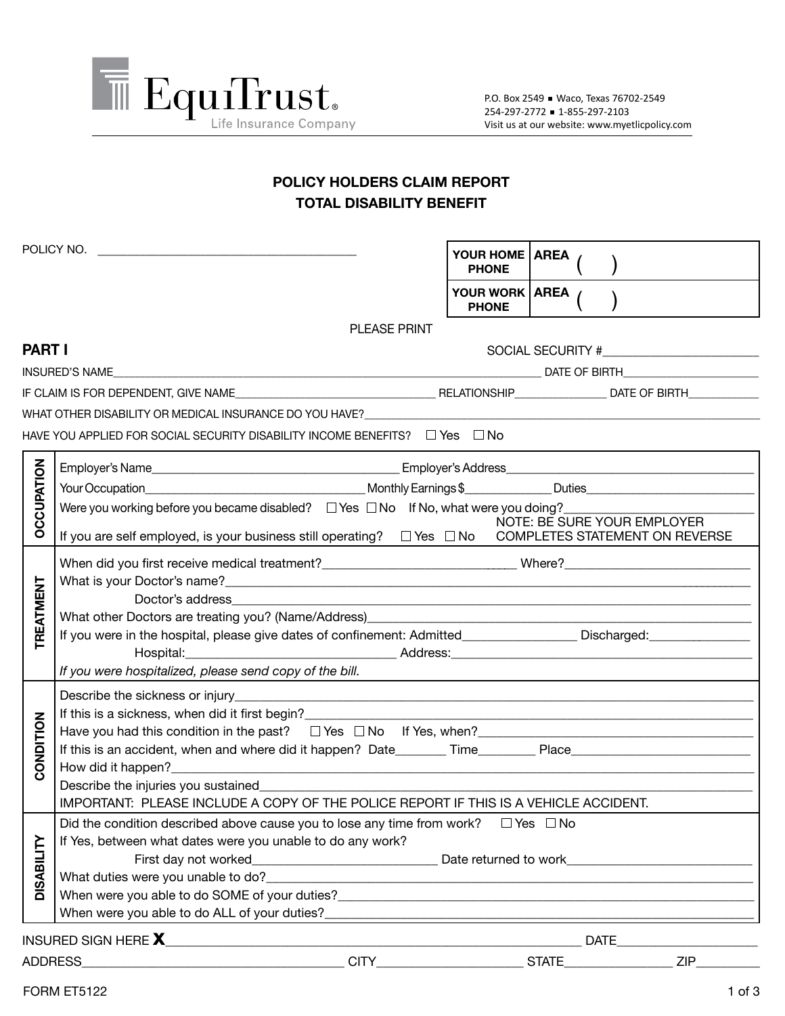

## **POLICY HOLDERS CLAIM REPORT TOTAL DISABILITY BENEFIT**

|                                                                                             | POLICY NO.                                                                                                                                                                                                                             | YOUR HOME   AREA<br><b>PHONE</b>                                                                                                                                                                                              |  |  |                             |  |  |  |  |
|---------------------------------------------------------------------------------------------|----------------------------------------------------------------------------------------------------------------------------------------------------------------------------------------------------------------------------------------|-------------------------------------------------------------------------------------------------------------------------------------------------------------------------------------------------------------------------------|--|--|-----------------------------|--|--|--|--|
|                                                                                             |                                                                                                                                                                                                                                        | YOUR WORK   AREA /<br><b>PHONE</b>                                                                                                                                                                                            |  |  |                             |  |  |  |  |
|                                                                                             | <b>PLEASE PRINT</b>                                                                                                                                                                                                                    |                                                                                                                                                                                                                               |  |  |                             |  |  |  |  |
| <b>PART I</b>                                                                               |                                                                                                                                                                                                                                        |                                                                                                                                                                                                                               |  |  |                             |  |  |  |  |
|                                                                                             | INSURED'S NAME DESCRIPTION OF RELATIONSHIPS OF BIRTH AND ACCOUNT OF BIRTH AND ACCOUNT OF BIRTH                                                                                                                                         |                                                                                                                                                                                                                               |  |  |                             |  |  |  |  |
|                                                                                             |                                                                                                                                                                                                                                        |                                                                                                                                                                                                                               |  |  |                             |  |  |  |  |
|                                                                                             | WHAT OTHER DISABILITY OR MEDICAL INSURANCE DO YOU HAVE? WHAT IN A RESERVED TO A RELATE THE RELATION OF THE RELA                                                                                                                        |                                                                                                                                                                                                                               |  |  |                             |  |  |  |  |
| HAVE YOU APPLIED FOR SOCIAL SECURITY DISABILITY INCOME BENEFITS? $\square$ Yes $\square$ No |                                                                                                                                                                                                                                        |                                                                                                                                                                                                                               |  |  |                             |  |  |  |  |
|                                                                                             |                                                                                                                                                                                                                                        |                                                                                                                                                                                                                               |  |  |                             |  |  |  |  |
|                                                                                             |                                                                                                                                                                                                                                        |                                                                                                                                                                                                                               |  |  |                             |  |  |  |  |
|                                                                                             | Were you working before you became disabled? □ Yes □ No If No, what were you doing? ______________                                                                                                                                     |                                                                                                                                                                                                                               |  |  |                             |  |  |  |  |
| <b>OCCUPATION</b>                                                                           | If you are self employed, is your business still operating? □ Yes □ No COMPLETES STATEMENT ON REVERSE                                                                                                                                  |                                                                                                                                                                                                                               |  |  | NOTE: BE SURE YOUR EMPLOYER |  |  |  |  |
|                                                                                             |                                                                                                                                                                                                                                        |                                                                                                                                                                                                                               |  |  |                             |  |  |  |  |
|                                                                                             |                                                                                                                                                                                                                                        |                                                                                                                                                                                                                               |  |  |                             |  |  |  |  |
|                                                                                             | Doctor's address                                                                                                                                                                                                                       |                                                                                                                                                                                                                               |  |  |                             |  |  |  |  |
| <b>TREATMENT</b>                                                                            | What other Doctors are treating you? (Name/Address)_____________________________                                                                                                                                                       |                                                                                                                                                                                                                               |  |  |                             |  |  |  |  |
|                                                                                             | If you were in the hospital, please give dates of confinement: Admitted_________________ Discharged:_______________                                                                                                                    |                                                                                                                                                                                                                               |  |  |                             |  |  |  |  |
|                                                                                             | If you were hospitalized, please send copy of the bill.                                                                                                                                                                                |                                                                                                                                                                                                                               |  |  |                             |  |  |  |  |
|                                                                                             |                                                                                                                                                                                                                                        | the control of the control of the control of the control of the control of the control of the control of the control of the control of the control of the control of the control of the control of the control of the control |  |  |                             |  |  |  |  |
|                                                                                             | If this is a sickness, when did it first begin?<br><u>Letting and the contract of the contract of the contract of the contract of the contract of the contract of the contract of the contract of the contract of the contract of </u> |                                                                                                                                                                                                                               |  |  |                             |  |  |  |  |
|                                                                                             | Have you had this condition in the past? $\square$ Yes $\square$ No If Yes, when?                                                                                                                                                      |                                                                                                                                                                                                                               |  |  |                             |  |  |  |  |
| CONDITION                                                                                   | If this is an accident, when and where did it happen? Date________Time________Place___________________________                                                                                                                         |                                                                                                                                                                                                                               |  |  |                             |  |  |  |  |
|                                                                                             |                                                                                                                                                                                                                                        |                                                                                                                                                                                                                               |  |  |                             |  |  |  |  |
|                                                                                             | Describe the injuries you sustained<br>IMPORTANT: PLEASE INCLUDE A COPY OF THE POLICE REPORT IF THIS IS A VEHICLE ACCIDENT.                                                                                                            |                                                                                                                                                                                                                               |  |  |                             |  |  |  |  |
|                                                                                             | Did the condition described above cause you to lose any time from work?<br>□ Yes □ No                                                                                                                                                  |                                                                                                                                                                                                                               |  |  |                             |  |  |  |  |
| <b>DISABILITY</b>                                                                           | If Yes, between what dates were you unable to do any work?                                                                                                                                                                             |                                                                                                                                                                                                                               |  |  |                             |  |  |  |  |
|                                                                                             |                                                                                                                                                                                                                                        |                                                                                                                                                                                                                               |  |  |                             |  |  |  |  |
|                                                                                             |                                                                                                                                                                                                                                        |                                                                                                                                                                                                                               |  |  |                             |  |  |  |  |
|                                                                                             |                                                                                                                                                                                                                                        |                                                                                                                                                                                                                               |  |  |                             |  |  |  |  |
|                                                                                             | When were you able to do ALL of your duties?<br><b>Example 2018</b>                                                                                                                                                                    |                                                                                                                                                                                                                               |  |  |                             |  |  |  |  |
|                                                                                             |                                                                                                                                                                                                                                        |                                                                                                                                                                                                                               |  |  |                             |  |  |  |  |
|                                                                                             |                                                                                                                                                                                                                                        |                                                                                                                                                                                                                               |  |  |                             |  |  |  |  |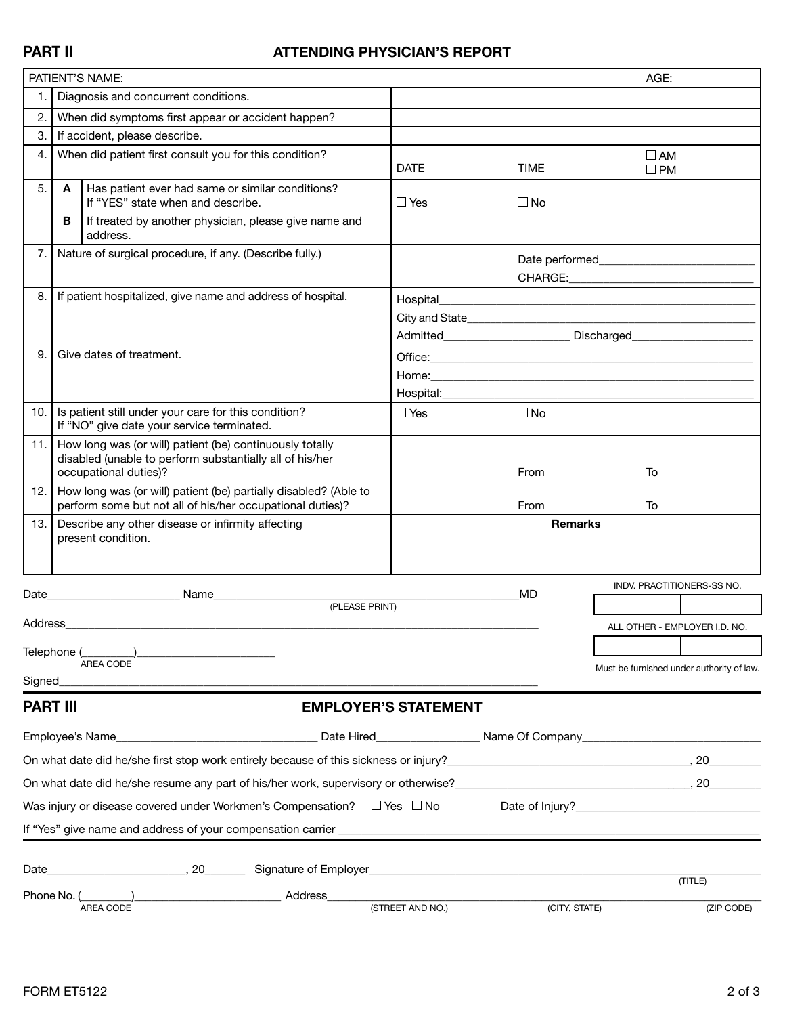## **PART II ATTENDING PHYSICIAN'S REPORT**

|                                                                                                           |   | PATIENT'S NAME:                                                                                                                               |                                                              |                | AGE:                                                                                                                                                                                                                          |  |  |  |  |
|-----------------------------------------------------------------------------------------------------------|---|-----------------------------------------------------------------------------------------------------------------------------------------------|--------------------------------------------------------------|----------------|-------------------------------------------------------------------------------------------------------------------------------------------------------------------------------------------------------------------------------|--|--|--|--|
| 1.                                                                                                        |   | Diagnosis and concurrent conditions.                                                                                                          |                                                              |                |                                                                                                                                                                                                                               |  |  |  |  |
| 2.                                                                                                        |   | When did symptoms first appear or accident happen?                                                                                            |                                                              |                |                                                                                                                                                                                                                               |  |  |  |  |
| 3.                                                                                                        |   | If accident, please describe.                                                                                                                 |                                                              |                |                                                                                                                                                                                                                               |  |  |  |  |
| 4.                                                                                                        |   | When did patient first consult you for this condition?                                                                                        | <b>DATE</b>                                                  | <b>TIME</b>    | $\square$ AM<br>$\square$ PM                                                                                                                                                                                                  |  |  |  |  |
| 5.                                                                                                        | A | Has patient ever had same or similar conditions?<br>If "YES" state when and describe.                                                         | $\Box$ Yes                                                   | $\square$ No   |                                                                                                                                                                                                                               |  |  |  |  |
|                                                                                                           | В | If treated by another physician, please give name and<br>address.                                                                             |                                                              |                |                                                                                                                                                                                                                               |  |  |  |  |
| 7.                                                                                                        |   | Nature of surgical procedure, if any. (Describe fully.)                                                                                       |                                                              |                |                                                                                                                                                                                                                               |  |  |  |  |
| 8. I                                                                                                      |   | If patient hospitalized, give name and address of hospital.                                                                                   | Hospital                                                     |                | the control of the control of the control of the control of the control of the control of the control of the control of the control of the control of the control of the control of the control of the control of the control |  |  |  |  |
|                                                                                                           |   |                                                                                                                                               |                                                              |                |                                                                                                                                                                                                                               |  |  |  |  |
|                                                                                                           |   |                                                                                                                                               | Admitted___________________________ Discharged______________ |                |                                                                                                                                                                                                                               |  |  |  |  |
| 9.                                                                                                        |   | Give dates of treatment.                                                                                                                      |                                                              |                |                                                                                                                                                                                                                               |  |  |  |  |
|                                                                                                           |   |                                                                                                                                               |                                                              |                |                                                                                                                                                                                                                               |  |  |  |  |
|                                                                                                           |   |                                                                                                                                               | Hospital: <b>Market</b>                                      |                |                                                                                                                                                                                                                               |  |  |  |  |
| 10.                                                                                                       |   | Is patient still under your care for this condition?<br>If "NO" give date your service terminated.                                            | $\Box$ Yes                                                   | $\square$ No   |                                                                                                                                                                                                                               |  |  |  |  |
| 11.1                                                                                                      |   | How long was (or will) patient (be) continuously totally<br>disabled (unable to perform substantially all of his/her<br>occupational duties)? |                                                              | From           | To                                                                                                                                                                                                                            |  |  |  |  |
| 12.                                                                                                       |   | How long was (or will) patient (be) partially disabled? (Able to<br>perform some but not all of his/her occupational duties)?                 |                                                              | From           | To                                                                                                                                                                                                                            |  |  |  |  |
| 13.                                                                                                       |   | Describe any other disease or infirmity affecting<br>present condition.                                                                       |                                                              | <b>Remarks</b> |                                                                                                                                                                                                                               |  |  |  |  |
|                                                                                                           |   |                                                                                                                                               |                                                              |                | <b>INDV. PRACTITIONERS-SS NO.</b>                                                                                                                                                                                             |  |  |  |  |
| Date_                                                                                                     |   | <b>Name contract the State</b><br>(PLEASE PRINT)                                                                                              | <b>MD</b>                                                    |                |                                                                                                                                                                                                                               |  |  |  |  |
| Address                                                                                                   |   |                                                                                                                                               |                                                              |                | ALL OTHER - EMPLOYER I.D. NO.                                                                                                                                                                                                 |  |  |  |  |
| Telephone (                                                                                               |   |                                                                                                                                               |                                                              |                |                                                                                                                                                                                                                               |  |  |  |  |
|                                                                                                           |   | <b>AREA CODE</b>                                                                                                                              |                                                              |                | Must be furnished under authority of law.                                                                                                                                                                                     |  |  |  |  |
| Signed                                                                                                    |   |                                                                                                                                               |                                                              |                |                                                                                                                                                                                                                               |  |  |  |  |
| <b>PART III</b>                                                                                           |   |                                                                                                                                               | <b>EMPLOYER'S STATEMENT</b>                                  |                |                                                                                                                                                                                                                               |  |  |  |  |
|                                                                                                           |   |                                                                                                                                               |                                                              |                | Mame Of Company <b>Community Company</b> 2014                                                                                                                                                                                 |  |  |  |  |
|                                                                                                           |   | On what date did he/she first stop work entirely because of this sickness or injury?<br>20                                                    |                                                              |                |                                                                                                                                                                                                                               |  |  |  |  |
|                                                                                                           |   | On what date did he/she resume any part of his/her work, supervisory or otherwise?<br>20                                                      |                                                              |                |                                                                                                                                                                                                                               |  |  |  |  |
| Was injury or disease covered under Workmen's Compensation? $\square$ Yes $\square$ No<br>Date of Injury? |   |                                                                                                                                               |                                                              |                |                                                                                                                                                                                                                               |  |  |  |  |
|                                                                                                           |   |                                                                                                                                               |                                                              |                |                                                                                                                                                                                                                               |  |  |  |  |
|                                                                                                           |   |                                                                                                                                               |                                                              |                |                                                                                                                                                                                                                               |  |  |  |  |
| Phone No. (                                                                                               |   | Address_                                                                                                                                      |                                                              |                | (TITLE)                                                                                                                                                                                                                       |  |  |  |  |
|                                                                                                           |   | AREA CODE                                                                                                                                     | (STREET AND NO.)                                             | (CITY, STATE)  | (ZIP CODE)                                                                                                                                                                                                                    |  |  |  |  |